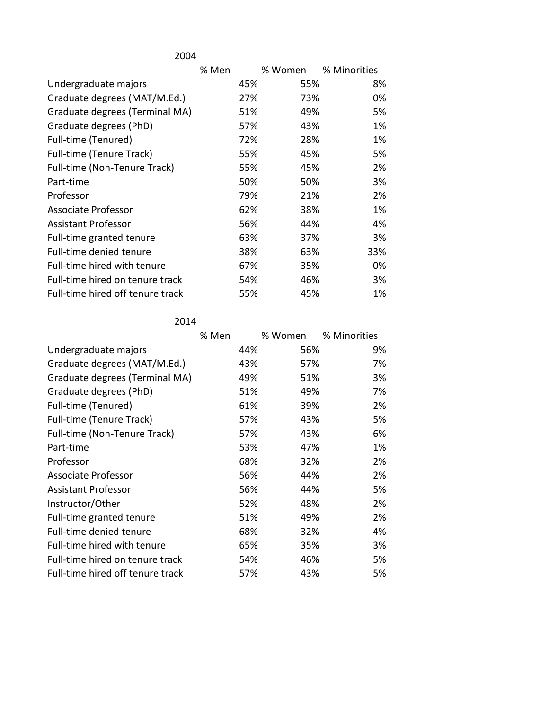| 2004                             |       |     |         |              |
|----------------------------------|-------|-----|---------|--------------|
|                                  | % Men |     | % Women | % Minorities |
| Undergraduate majors             |       | 45% | 55%     | 8%           |
| Graduate degrees (MAT/M.Ed.)     |       | 27% | 73%     | 0%           |
| Graduate degrees (Terminal MA)   |       | 51% | 49%     | 5%           |
| Graduate degrees (PhD)           |       | 57% | 43%     | 1%           |
| Full-time (Tenured)              |       | 72% | 28%     | 1%           |
| Full-time (Tenure Track)         |       | 55% | 45%     | 5%           |
| Full-time (Non-Tenure Track)     |       | 55% | 45%     | 2%           |
| Part-time                        |       | 50% | 50%     | 3%           |
| Professor                        |       | 79% | 21%     | 2%           |
| Associate Professor              |       | 62% | 38%     | 1%           |
| Assistant Professor              |       | 56% | 44%     | 4%           |
| Full-time granted tenure         |       | 63% | 37%     | 3%           |
| Full-time denied tenure          |       | 38% | 63%     | 33%          |
| Full-time hired with tenure      |       | 67% | 35%     | 0%           |
| Full-time hired on tenure track  |       | 54% | 46%     | 3%           |
| Full-time hired off tenure track |       | 55% | 45%     | 1%           |

2014

|                                  | % Men |     | % Women | % Minorities |
|----------------------------------|-------|-----|---------|--------------|
| Undergraduate majors             |       | 44% | 56%     | 9%           |
| Graduate degrees (MAT/M.Ed.)     |       | 43% | 57%     | 7%           |
| Graduate degrees (Terminal MA)   |       | 49% | 51%     | 3%           |
| Graduate degrees (PhD)           |       | 51% | 49%     | 7%           |
| Full-time (Tenured)              |       | 61% | 39%     | 2%           |
| Full-time (Tenure Track)         |       | 57% | 43%     | 5%           |
| Full-time (Non-Tenure Track)     |       | 57% | 43%     | 6%           |
| Part-time                        |       | 53% | 47%     | 1%           |
| Professor                        |       | 68% | 32%     | 2%           |
| Associate Professor              |       | 56% | 44%     | 2%           |
| <b>Assistant Professor</b>       |       | 56% | 44%     | 5%           |
| Instructor/Other                 |       | 52% | 48%     | 2%           |
| Full-time granted tenure         |       | 51% | 49%     | 2%           |
| Full-time denied tenure          |       | 68% | 32%     | 4%           |
| Full-time hired with tenure      |       | 65% | 35%     | 3%           |
| Full-time hired on tenure track  |       | 54% | 46%     | 5%           |
| Full-time hired off tenure track |       | 57% | 43%     | 5%           |